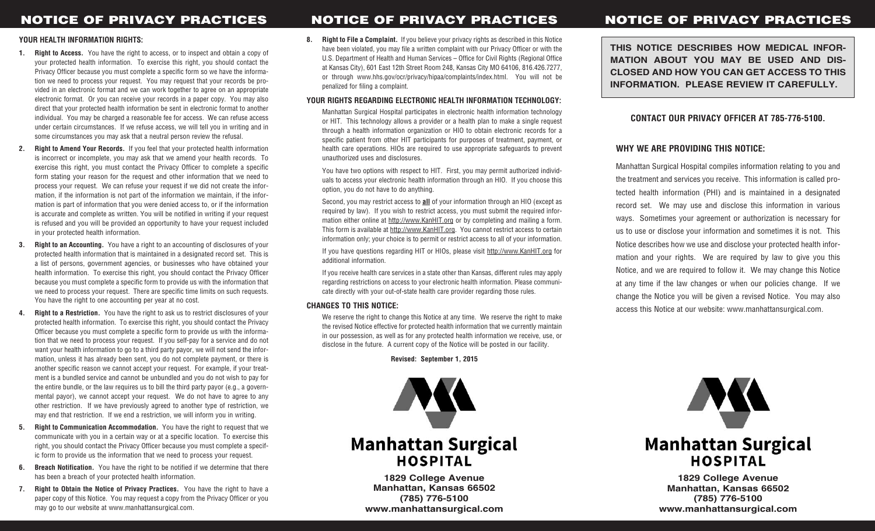#### **YOUR HEALTH INFORMATION RIGHTS:**

- **1. Right to Access.** You have the right to access, or to inspect and obtain a copy of your protected health information. To exercise this right, you should contact the Privacy Officer because you must complete a specific form so we have the information we need to process your request. You may request that your records be provided in an electronic format and we can work together to agree on an appropriate electronic format. Or you can receive your records in a paper copy. You may also direct that your protected health information be sent in electronic format to another individual. You may be charged a reasonable fee for access. We can refuse access under certain circumstances. If we refuse access, we will tell you in writing and in some circumstances you may ask that a neutral person review the refusal.
- **2. Right to Amend Your Records.** If you feel that your protected health information is incorrect or incomplete, you may ask that we amend your health records. To exercise this right, you must contact the Privacy Officer to complete a specific form stating your reason for the request and other information that we need to process your request. We can refuse your request if we did not create the information, if the information is not part of the information we maintain, if the information is part of information that you were denied access to, or if the information is accurate and complete as written. You will be notified in writing if your request is refused and you will be provided an opportunity to have your request included in your protected health information.
- **3. Right to an Accounting.** You have a right to an accounting of disclosures of your protected health information that is maintained in a designated record set. This is a list of persons, government agencies, or businesses who have obtained your health information. To exercise this right, you should contact the Privacy Officer because you must complete a specific form to provide us with the information that we need to process your request. There are specific time limits on such requests. You have the right to one accounting per year at no cost.
- **4. Right to a Restriction.** You have the right to ask us to restrict disclosures of your protected health information. To exercise this right, you should contact the Privacy Officer because you must complete a specific form to provide us with the information that we need to process your request. If you self-pay for a service and do not want your health information to go to a third party payor, we will not send the information, unless it has already been sent, you do not complete payment, or there is another specific reason we cannot accept your request. For example, if your treatment is a bundled service and cannot be unbundled and you do not wish to pay for the entire bundle, or the law requires us to bill the third party payor (e.g., a governmental payor), we cannot accept your request. We do not have to agree to any other restriction. If we have previously agreed to another type of restriction, we may end that restriction. If we end a restriction, we will inform you in writing.
- **5. Right to Communication Accommodation.** You have the right to request that we communicate with you in a certain way or at a specific location. To exercise this right, you should contact the Privacy Officer because you must complete a specific form to provide us the information that we need to process your request.
- **6. Breach Notification.** You have the right to be notified if we determine that there has been a breach of your protected health information.
- **7. Right to Obtain the Notice of Privacy Practices.** You have the right to have a paper copy of this Notice. You may request a copy from the Privacy Officer or you may go to our website at www.manhattansurgical.com.

**8. Right to File a Complaint.** If you believe your privacy rights as described in this Notice have been violated, you may file a written complaint with our Privacy Officer or with the U.S. Department of Health and Human Services – Office for Civil Rights (Regional Office at Kansas City), 601 East 12th Street Room 248, Kansas City MO 64106, 816.426.7277, or through www.hhs.gov/ocr/privacy/hipaa/complaints/index.html. You will not be penalized for filing a complaint.

### **YOUR RIGHTS REGARDING ELECTRONIC HEALTH INFORMATION TECHNOLOGY:**

Manhattan Surgical Hospital participates in electronic health information technology or HIT. This technology allows a provider or a health plan to make a single request through a health information organization or HIO to obtain electronic records for a specific patient from other HIT participants for purposes of treatment, payment, or health care operations. HIOs are required to use appropriate safeguards to prevent unauthorized uses and disclosures.

You have two options with respect to HIT. First, you may permit authorized individuals to access your electronic health information through an HIO. If you choose this option, you do not have to do anything.

Second, you may restrict access to **all** of your information through an HIO (except as required by law). If you wish to restrict access, you must submit the required information either online at http://www.KanHIT.org or by completing and mailing a form. This form is available at http://www.KanHIT.org. You cannot restrict access to certain information only; your choice is to permit or restrict access to all of your information.

If you have questions regarding HIT or HIOs, please visit http://www.KanHIT.org for additional information.

If you receive health care services in a state other than Kansas, different rules may apply regarding restrictions on access to your electronic health information. Please communicate directly with your out-of-state health care provider regarding those rules.

#### **CHANGES TO THIS NOTICE:**

We reserve the right to change this Notice at any time. We reserve the right to make the revised Notice effective for protected health information that we currently maintain in our possession, as well as for any protected health information we receive, use, or disclose in the future. A current copy of the Notice will be posted in our facility.

**Revised: September 1, 2015**



**1829 College Avenue Manhattan, Kansas 66502 (785) 776-5100 www.manhattansurgical.com**

# **NOTICE OF PRIVACY PRACTICES NOTICE OF PRIVACY PRACTICES**

**THIS NOTICE DESCRIBES HOW MEDICAL INFOR-MATION ABOUT YOU MAY BE USED AND DIS-CLOSED AND HOW YOU CAN GET ACCESS TO THIS INFORMATION. PLEASE REVIEW IT CAREFULLY.**

## **CONTACT OUR PRIVACY OFFICER AT 785-776-5100.**

## **WHY WE ARE PROVIDING THIS NOTICE:**

Manhattan Surgical Hospital compiles information relating to you and the treatment and services you receive. This information is called protected health information (PHI) and is maintained in a designated record set. We may use and disclose this information in various ways. Sometimes your agreement or authorization is necessary for us to use or disclose your information and sometimes it is not. This Notice describes how we use and disclose your protected health information and your rights. We are required by law to give you this Notice, and we are required to follow it. We may change this Notice at any time if the law changes or when our policies change. If we change the Notice you will be given a revised Notice. You may also access this Notice at our website: www.manhattansurgical.com.



**1829 College Avenue Manhattan, Kansas 66502 (785) 776-5100 www.manhattansurgical.com**